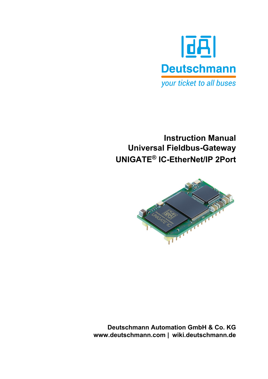

# **Instruction Manual Universal Fieldbus-Gateway UNIGATE® IC-EtherNet/IP 2Port**



**Deutschmann Automation GmbH & Co. KG www.deutschmann.com | wiki.deutschmann.de**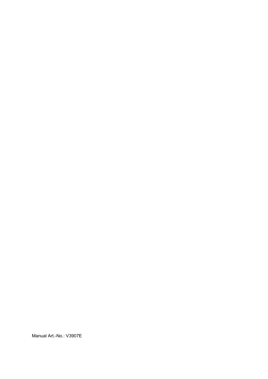Manual Art.-No.: V3907E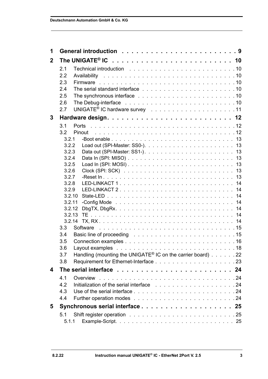| $\mathbf 1$    |                                                                                                                                                                                                                                       |
|----------------|---------------------------------------------------------------------------------------------------------------------------------------------------------------------------------------------------------------------------------------|
| $\overline{2}$ |                                                                                                                                                                                                                                       |
|                | Technical introduction results and results are a series and a series of the series and a series are series and<br>2.1                                                                                                                 |
|                | 2.2                                                                                                                                                                                                                                   |
|                | 2.3                                                                                                                                                                                                                                   |
|                | 2.4                                                                                                                                                                                                                                   |
|                | 2.5                                                                                                                                                                                                                                   |
|                | 2.6                                                                                                                                                                                                                                   |
|                | 2.7                                                                                                                                                                                                                                   |
| 3              |                                                                                                                                                                                                                                       |
|                | 3.1                                                                                                                                                                                                                                   |
|                | 3.2<br>Pinout                                                                                                                                                                                                                         |
|                | 3.2.1                                                                                                                                                                                                                                 |
|                | 3.2.2<br>3.2.3                                                                                                                                                                                                                        |
|                | 3.2.4                                                                                                                                                                                                                                 |
|                | 3.2.5                                                                                                                                                                                                                                 |
|                | 3.2.6                                                                                                                                                                                                                                 |
|                | 3.2.7                                                                                                                                                                                                                                 |
|                | 3.2.8                                                                                                                                                                                                                                 |
|                | 3.2.9                                                                                                                                                                                                                                 |
|                | 3.2.10<br>3.2.11                                                                                                                                                                                                                      |
|                | 3.2.12                                                                                                                                                                                                                                |
|                |                                                                                                                                                                                                                                       |
|                | 3.2.14                                                                                                                                                                                                                                |
|                | 3.3                                                                                                                                                                                                                                   |
|                | Basic line of proceeding research and contained a series of the series of the series of the series of the series of the series of the series of the series of the series of the series of the series of the series of the seri<br>3.4 |
|                | 3.5                                                                                                                                                                                                                                   |
|                | Layout examples<br>3.6                                                                                                                                                                                                                |
|                | Handling (mounting the UNIGATE <sup>®</sup> IC on the carrier board) 22<br>3.7                                                                                                                                                        |
|                | 3.8                                                                                                                                                                                                                                   |
| 4              |                                                                                                                                                                                                                                       |
|                | 4.1                                                                                                                                                                                                                                   |
|                | 4.2                                                                                                                                                                                                                                   |
|                | 4.3                                                                                                                                                                                                                                   |
|                | 4.4                                                                                                                                                                                                                                   |
| 5              |                                                                                                                                                                                                                                       |
|                | 5.1                                                                                                                                                                                                                                   |
|                | 5.1.1                                                                                                                                                                                                                                 |
|                |                                                                                                                                                                                                                                       |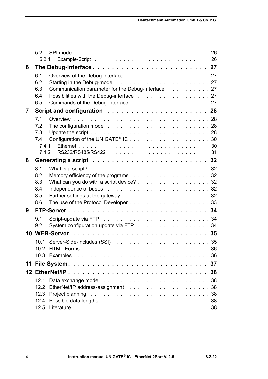|    | 52         |                                                                                                  |
|----|------------|--------------------------------------------------------------------------------------------------|
|    | 5.2.1      |                                                                                                  |
| 6  |            |                                                                                                  |
|    | 6.1        |                                                                                                  |
|    | 6.2        |                                                                                                  |
|    | 6.3        | Communication parameter for the Debug-interface 27                                               |
|    | 6.4<br>6.5 | Possibilities with the Debug-interface 27                                                        |
|    |            |                                                                                                  |
| 7  |            |                                                                                                  |
|    | 7.1<br>7.2 |                                                                                                  |
|    | 7.3        | The configuration mode $\ldots \ldots \ldots \ldots \ldots \ldots \ldots \ldots \ldots 28$       |
|    | 7.4        | Configuration of the UNIGATE <sup>®</sup> IC30                                                   |
|    | 7.4.1      |                                                                                                  |
|    | 742        |                                                                                                  |
| 8  |            |                                                                                                  |
|    | 8.1        | What is a script? $\ldots \ldots \ldots \ldots \ldots \ldots \ldots \ldots \ldots \ldots \ldots$ |
|    | 8.2        | Memory efficiency of the programs 32                                                             |
|    | 8.3        | What can you do with a script device? 32                                                         |
|    | 8.4        |                                                                                                  |
|    | 8.5        |                                                                                                  |
|    | 8.6        |                                                                                                  |
| 9  |            |                                                                                                  |
|    | 9.1        |                                                                                                  |
|    | 9.2        | System configuration update via FTP 34                                                           |
|    |            |                                                                                                  |
|    | 10.1       |                                                                                                  |
|    | 10.2       |                                                                                                  |
|    |            |                                                                                                  |
| 11 |            |                                                                                                  |
|    |            |                                                                                                  |
|    | 12.1       |                                                                                                  |
|    | 12.2       |                                                                                                  |
|    | 12.4       |                                                                                                  |
|    |            |                                                                                                  |
|    |            |                                                                                                  |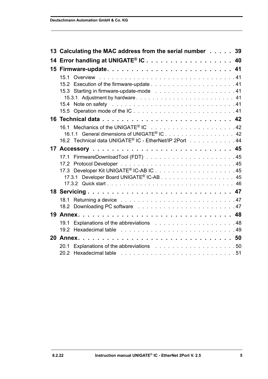|    | 13 Calculating the MAC address from the serial number 39                                                                                                                                                                       |  |
|----|--------------------------------------------------------------------------------------------------------------------------------------------------------------------------------------------------------------------------------|--|
|    | 14 Error handling at UNIGATE <sup>®</sup> IC 40                                                                                                                                                                                |  |
|    |                                                                                                                                                                                                                                |  |
|    |                                                                                                                                                                                                                                |  |
|    |                                                                                                                                                                                                                                |  |
|    |                                                                                                                                                                                                                                |  |
|    | 15.3.1 Adjustment by hardware 41                                                                                                                                                                                               |  |
|    |                                                                                                                                                                                                                                |  |
|    |                                                                                                                                                                                                                                |  |
|    |                                                                                                                                                                                                                                |  |
|    |                                                                                                                                                                                                                                |  |
|    | 16.1.1 General dimensions of UNIGATE <sup>®</sup> IC. 42                                                                                                                                                                       |  |
|    | 16.2 Technical data UNIGATE® IC - EtherNet/IP 2Port 44                                                                                                                                                                         |  |
|    |                                                                                                                                                                                                                                |  |
|    |                                                                                                                                                                                                                                |  |
|    |                                                                                                                                                                                                                                |  |
|    |                                                                                                                                                                                                                                |  |
|    | 17.3.1                                                                                                                                                                                                                         |  |
|    |                                                                                                                                                                                                                                |  |
|    |                                                                                                                                                                                                                                |  |
|    |                                                                                                                                                                                                                                |  |
|    |                                                                                                                                                                                                                                |  |
|    |                                                                                                                                                                                                                                |  |
|    |                                                                                                                                                                                                                                |  |
|    | 19.2 Hexadecimal table research and contact the contract of the contract of the contract of the contract of the contract of the contract of the contract of the contract of the contract of the contract of the contract of th |  |
| 20 |                                                                                                                                                                                                                                |  |
|    |                                                                                                                                                                                                                                |  |
|    | 20.2 Hexadecimal table research and such a series of the series of the series of the series of the series of t                                                                                                                 |  |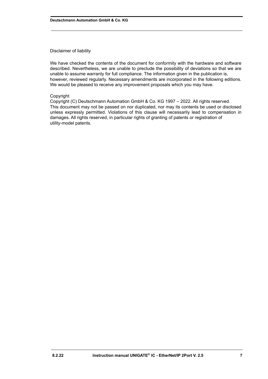#### Disclaimer of liability

We have checked the contents of the document for conformity with the hardware and software described. Nevertheless, we are unable to preclude the possibility of deviations so that we are unable to assume warranty for full compliance. The information given in the publication is, however, reviewed regularly. Necessary amendments are incorporated in the following editions. We would be pleased to receive any improvement proposals which you may have.

#### Copyright

Copyright (C) Deutschmann Automation GmbH & Co. KG 1997 – 2022. All rights reserved. This document may not be passed on nor duplicated, nor may its contents be used or disclosed unless expressly permitted. Violations of this clause will necessarily lead to compensation in damages. All rights reserved, in particular rights of granting of patents or registration of utility-model patents.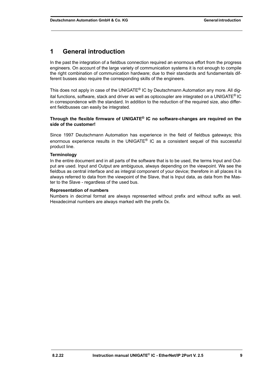## <span id="page-8-0"></span>**1 General introduction**

In the past the integration of a fieldbus connection required an enormous effort from the progress engineers. On account of the large variety of communication systems it is not enough to compile the right combination of communication hardware; due to their standards and fundamentals different busses also require the corresponding skills of the engineers.

This does not apply in case of the UNIGATE<sup>®</sup> IC by Deutschmann Automation any more. All digital functions, software, stack and driver as well as optocoupler are integrated on a UNIGATE® IC in correspondence with the standard. In addition to the reduction of the required size, also different fieldbusses can easily be integrated.

#### **Through the flexible firmware of UNIGATE® IC no software-changes are required on the side of the customer!**

Since 1997 Deutschmann Automation has experience in the field of fieldbus gateways; this enormous experience results in the UNIGATE® IC as a consistent sequel of this successful product line.

#### **Terminology**

In the entire document and in all parts of the software that is to be used, the terms Input and Output are used. Input and Output are ambiguous, always depending on the viewpoint. We see the fieldbus as central interface and as integral component of your device; therefore in all places it is always referred to data from the viewpoint of the Slave, that is Input data, as data from the Master to the Slave - regardless of the used bus.

#### **Representation of numbers**

Numbers in decimal format are always represented without prefix and without suffix as well. Hexadecimal numbers are always marked with the prefix 0x.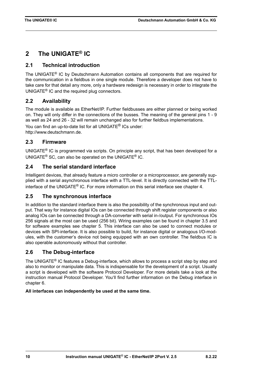## <span id="page-9-0"></span>**2 The UNIGATE® IC**

### <span id="page-9-1"></span>**2.1 Technical introduction**

The UNIGATE® IC by Deutschmann Automation contains all components that are required for the communication in a fieldbus in one single module. Therefore a developer does not have to take care for that detail any more, only a hardware redesign is necessary in order to integrate the UNIGATE® IC and the required plug connectors.

### <span id="page-9-2"></span>**2.2 Availability**

The module is available as EtherNet/IP. Further fieldbusses are either planned or being worked on. They will only differ in the connections of the busses. The meaning of the general pins 1 - 9 as well as 24 and 26 - 32 will remain unchanged also for further fieldbus implementations. You can find an up-to-date list for all UNIGATE® ICs under: http://www.deutschmann.de.

### <span id="page-9-3"></span>**2.3 Firmware**

UNIGATE<sup>®</sup> IC is programmed via scripts. On principle any script, that has been developed for a UNIGATE® SC, can also be operated on the UNIGATE® IC.

### <span id="page-9-4"></span>**2.4 The serial standard interface**

Intelligent devices, that already feature a micro controller or a microprocessor, are generally supplied with a serial asynchronous interface with a TTL-level. It is directly connected with the TTLinterface of the UNIGATE® IC. For more information on this serial interface see [chapter 4](#page-23-0).

### <span id="page-9-5"></span>**2.5 The synchronous interface**

In addition to the standard interface there is also the possibility of the synchronous input and output. That way for instance digital IOs can be connected through shift register components or also analog IOs can be connected through a DA-converter with serial in-/output. For synchronous IOs 256 signals at the most can be used (256 bit). Wiring examples can be found in [chapter 3.5](#page-15-0) and for software examples see [chapter 5](#page-24-0). This interface can also be used to connect modules or devices with SPI-interface. It is also possible to build, for instance digital or analogous I/O-modules, with the customer's device not being equipped with an own controller. The fieldbus IC is also operable autonomously without that controller.

### <span id="page-9-6"></span>**2.6 The Debug-interface**

The UNIGATE<sup>®</sup> IC features a Debug-interface, which allows to process a script step by step and also to monitor or manipulate data. This is indispensable for the development of a script. Usually a script is developed with the software Protocol Developer. For more details take a look at the instruction manual Protocol Developer. You'll find further information on the Debug interface in [chapter 6](#page-26-0).

#### **All interfaces can independently be used at the same time.**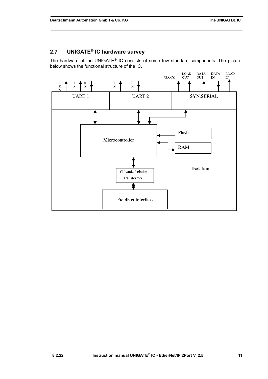## <span id="page-10-0"></span>**2.7 UNIGATE® IC hardware survey**

The hardware of the UNIGATE® IC consists of some few standard components. The picture below shows the functional structure of the IC.

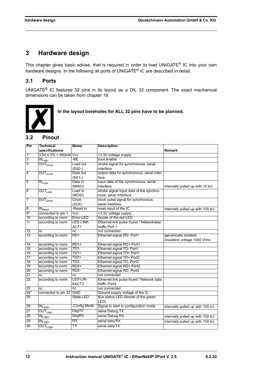## <span id="page-11-0"></span>**3 Hardware design**

This chapter gives basic advise, that is required in order to load UNIGATE® IC into your own hardware designs. In the following all ports of UNIGATE® IC are described in detail.

### <span id="page-11-1"></span>**3.1 Ports**

UNIGATE® IC features 32 pins in its layout as a DIL 32 component. The exact mechanical dimensions can be taken from [chapter 16](#page-41-0).



 **In the layout boreholes for ALL 32 pins have to be planned.**

### <span id="page-11-2"></span>**3.2 Pinout**

| Pin              | <b>Technical</b>                            | <b>Name</b>             | <b>Description</b>                         |                                          |
|------------------|---------------------------------------------|-------------------------|--------------------------------------------|------------------------------------------|
|                  | specifications                              |                         |                                            | <b>Remark</b>                            |
| $\overline{1^*}$ | $3.3V \pm 5\% \leq 460$ mA Vcc              |                         | +3.3V voltage supply                       |                                          |
| $\overline{2}$   | $IN_{Logic}$                                | -BE                     | boot enable                                |                                          |
| $\overline{3}$   | OUT <sub>Driver</sub>                       | Load out                | strobe signal for synchronous, serial      |                                          |
|                  |                                             | $(SSO-)$                | interface                                  |                                          |
| $\overline{4}$   | OUT <sub>Driver</sub>                       | Data out                | output data for synchronous, serial inter- |                                          |
|                  |                                             | $(SS1-)$                | face                                       |                                          |
| 15               | $N_{\text{Logic}}$                          | Data in                 | input data of the synchronous, serial      |                                          |
|                  |                                             | (MISO)                  | interface                                  | internally pulled up with 10 $k\Omega$   |
| 6                | $\overline{\mathsf{OUT}_{\mathsf{Logic}}}$  | Load in                 | strobe signal input data of the synchro-   |                                          |
|                  |                                             | (MOSI)                  | nous, serial interface                     |                                          |
| 17               | $\overline{\mathsf{OUT}_{\mathsf{Driver}}}$ | <b>Clock</b>            | clock pulse signal for synchronous,        |                                          |
|                  |                                             | (SCK)                   | serial interface                           |                                          |
| 8                | <b>IN</b> <sub>Reset</sub>                  | -Reset in               | reset-input of the IC                      | internally pulled up with 100 k $\Omega$ |
| $\overline{9^*}$ | connected to pin 1                          | $\overline{\text{Vcc}}$ | +3.3V voltage supply                       |                                          |
| 10               | according to norm                           | Error-LED               | Anode of the red LED                       |                                          |
| $\overline{11}$  | according to norm                           | LED-LINK-               | Ethernet-link pulse found / Networkdata    |                                          |
|                  |                                             | ACT <sub>1</sub>        | traffic Port 1                             |                                          |
| $\overline{12}$  | nc                                          | nc                      | not connected                              |                                          |
| $\overline{13}$  | according to norm                           | <b>RD1-</b>             | Ethernet-signal RD- Port1                  | galvanically isolated                    |
|                  |                                             |                         |                                            | insulation voltage 1000 Vrms             |
| $\overline{14}$  | according to norm                           | $RD1+$                  | Ethernet-signal RD+ Port1                  |                                          |
| $\overline{15}$  | according to norm                           | <b>TD1-</b>             | Ethernet-signal TD- Port1                  |                                          |
| $\overline{16}$  | according to norm                           | $TD1+$                  | Ethernet-signal TD+ Port1                  |                                          |
| $\overline{17}$  | according to norm                           | $TD2+$                  | Ethernet-signal TD+ Port2                  |                                          |
| $\overline{18}$  | according to norm                           | $TD2-$                  | Ethernet-signal TD- Port2                  |                                          |
| $\overline{19}$  | according to norm                           | $RD2+$                  | Ethernet-signal RD+ Port2                  |                                          |
| $\overline{20}$  | according to norm                           | <b>RD2-</b>             | Ethernet-signal RD- Port2                  |                                          |
| $\overline{21}$  | nc                                          | $\overline{nc}$         | not connected                              |                                          |
| $\overline{22}$  | according to norm                           | LED-LIN-                | Ethernet-link pulse found / Network data   |                                          |
|                  |                                             | KACT2                   | traffic Port2                              |                                          |
| 23               | nc                                          | nc                      | not connected                              |                                          |
| $24*$            | connected to pin 32 GND                     |                         | Ground supply voltage of the IC            |                                          |
| 25               |                                             | State-LED               | Bus status LED (Anode of the green         |                                          |
|                  |                                             |                         | LED)                                       |                                          |
| 26               | $\overline{\textsf{IN}_{\textsf{Logic}}}$   | -Config Mode            | Signal to start in configuration mode      | internally pulled up with 100 k $\Omega$ |
| 27               | OUT <sub>Logic</sub>                        | <b>DbgTX</b>            | serial Debug TX                            |                                          |
| 28               | $\overline{\text{IN}_{\text{Logic}}}$       | <b>DbgRX</b>            | serial Debug RX                            | internally pulled up with 100 k $\Omega$ |
| 29               | $\overline{\text{IN}_{\text{Logic}}}$       | $\overline{RX}$         | serial data RX                             | internally pulled up with 100 k $\Omega$ |
| 30               | OUT <sub>Logic</sub>                        | ТX                      | serial data TX                             |                                          |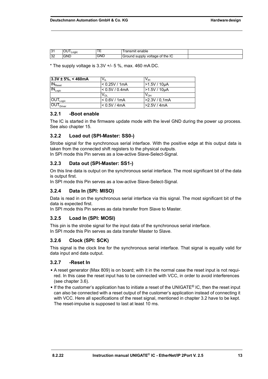| ັ                     | . .<br>Logic | --<br>. . | ---------<br>enable<br>ш                             |  |
|-----------------------|--------------|-----------|------------------------------------------------------|--|
| 0 <sup>2</sup><br>ے ت | GND          | GNL       | the<br><br>ot<br>voltage<br>าทเง<br>ound<br>sur<br>∼ |  |

 $*$  The supply voltage is 3.3V  $+/-$  5 %, max, 460 mA DC.

| $3.3V \pm 5%$ , < 460mA                      | V <sub>II</sub> | V <sub>IH</sub> |
|----------------------------------------------|-----------------|-----------------|
| $ $ IN $_{\rm{Reset}}$                       | ⊦< 0.25V / 1mA  | $-1.5V/10\mu A$ |
| $ 1N_{Logic} $                               | < 0.5V / 0.4mA  | $>1.5V/10\mu A$ |
|                                              | $V_{\Omega}$    | $V_{OH}$        |
| $\overline{\mathsf{OUT}}_\mathsf{Logic}$     | < 0.6V / 1mA    | >2.3V / 0.1mA   |
| $\overline{\mathsf{IOUT}}_{\mathsf{Driver}}$ | < 0.5V / 4mA    | >2.5V/4mA       |

#### <span id="page-12-0"></span>**3.2.1 -Boot enable**

The IC is started in the firmware update mode with the level GND during the power up process. See also [chapter 15](#page-40-0).

#### <span id="page-12-1"></span>**3.2.2 Load out (SPI-Master: SS0-)**

Strobe signal for the synchronous serial interface. With the positive edge at this output data is taken from the connected shift registers to the physical outputs.

In SPI mode this Pin serves as a low-active Slave-Select-Signal.

#### <span id="page-12-2"></span>**3.2.3 Data out (SPI-Master: SS1-)**

On this line data is output on the synchronous serial interface. The most significant bit of the data is output first.

In SPI mode this Pin serves as a low-active Slave-Select-Signal.

#### <span id="page-12-3"></span>**3.2.4 Data In (SPI: MISO)**

Data is read in on the synchronous serial interface via this signal. The most significant bit of the data is expected first.

In SPI mode this Pin serves as data transfer from Slave to Master.

#### <span id="page-12-4"></span>**3.2.5 Load In (SPI: MOSI)**

This pin is the strobe signal for the input data of the synchronous serial interface. In SPI mode this Pin serves as data transfer Master to Slave.

#### <span id="page-12-5"></span>**3.2.6 Clock (SPI: SCK)**

This signal is the clock line for the synchronous serial interface. That signal is equally valid for data input and data output.

#### <span id="page-12-6"></span>**3.2.7 -Reset In**

- **•** A reset generator (Max 809) is on board; with it in the normal case the reset input is not required. In this case the reset input has to be connected with VCC, in order to avoid interferences (see [chapter 3.6](#page-17-0)).
- **•** If the the customer's application has to initiate a reset of the UNIGATE® IC, then the reset input can also be connected with a reset output of the customer's application instead of connecting it with VCC. Here all specifications of the reset signal, mentioned in [chapter 3.2](#page-11-2) have to be kept. The reset-impulse is supposed to last at least 10 ms.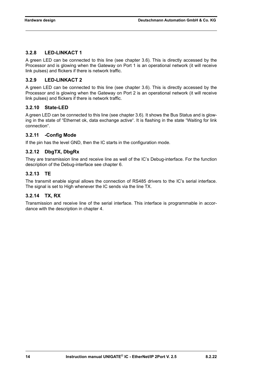#### <span id="page-13-0"></span>**3.2.8 LED-LINKACT 1**

A green LED can be connected to this line (see [chapter 3.6\)](#page-17-0). This is directly accessed by the Processor and is glowing when the Gateway on Port 1 is an operational network (it will receive link pulses) and flickers if there is network traffic.

#### <span id="page-13-1"></span>**3.2.9 LED-LINKACT 2**

A green LED can be connected to this line (see [chapter 3.6\)](#page-17-0). This is directly accessed by the Processor and is glowing when the Gateway on Port 2 is an operational network (it will receive link pulses) and flickers if there is network traffic.

#### <span id="page-13-2"></span>**3.2.10 State-LED**

A green LED can be connected to this line (see [chapter 3.6\)](#page-17-0). It shows the Bus Status and is glowing in the state of "Ethernet ok, data exchange active". It is flashing in the state "Waiting for link connection".

#### <span id="page-13-3"></span>**3.2.11 -Config Mode**

If the pin has the level GND, then the IC starts in the configuration mode.

#### <span id="page-13-4"></span>**3.2.12 DbgTX, DbgRx**

They are transmission line and receive line as well of the IC's Debug-interface. For the function description of the Debug-interface see [chapter 6](#page-26-0).

#### <span id="page-13-5"></span>**3.2.13 TE**

The transmit enable signal allows the connection of RS485 drivers to the IC's serial interface. The signal is set to High whenever the IC sends via the line TX.

#### <span id="page-13-6"></span>**3.2.14 TX, RX**

Transmission and receive line of the serial interface. This interface is programmable in accordance with the description in [chapter 4](#page-23-0).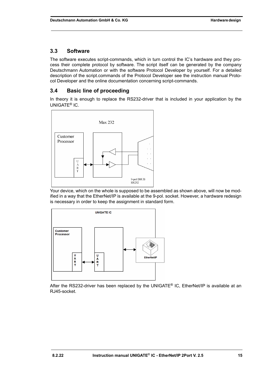### <span id="page-14-0"></span>**3.3 Software**

The software executes script-commands, which in turn control the IC's hardware and they process their complete protocol by software. The script itself can be generated by the company Deutschmann Automation or with the software Protocol Developer by yourself. For a detailed description of the script.commands of the Protocol Developer see the instruction manual Protocol Developer and the online documentation concerning script-commands.

### <span id="page-14-1"></span>**3.4 Basic line of proceeding**

In theory it is enough to replace the RS232-driver that is included in your application by the UNIGATE® IC.



Your device, which on the whole is supposed to be assembled as shown above, will now be modified in a way that the EtherNet/IP is available at the 9-pol. socket. However, a hardware redesign is necessary in order to keep the assignment in standard form.



After the RS232-driver has been replaced by the UNIGATE® IC, EtherNet/IP is available at an RJ45-socket.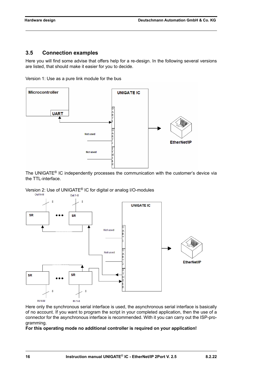#### <span id="page-15-0"></span>**3.5 Connection examples**

Here you will find some advise that offers help for a re-design. In the following several versions are listed, that should make it easier for you to decide.

Version 1: Use as a pure link module for the bus



The UNIGATE® IC independently processes the communication with the customer's device via the TTL-interface.

Version 2: Use of UNIGATE<sup>®</sup> IC for digital or analog I/O-modules<br>
<sub>Out N-M</sub><br>
Out 1-8



Here only the synchronous serial interface is used, the asynchronous serial interface is basically of no account. If you want to program the script in your completed application, then the use of a connector for the asynchronous interface is recommended. With it you can carry out the ISP-programming.

#### **For this operating mode no additional controller is required on your application!**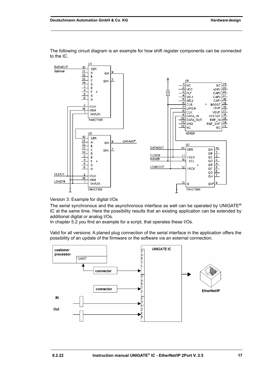

The following circuit diagram is an example for how shift register components can be connected to the IC.

Version 3: Example for digital I/Os

The serial synchronous and the asynchronous interface as well can be operated by UNIGATE<sup>®</sup> IC at the same time. Here the possibility results that an existing application can be extended by additional digital or analog I/Os.

In chapter 5.2 you find an example for a script, that operates these I/Os.

Valid for all versions: A planed plug connection of the serial interface in the application offers the possibility of an update of the firmware or the software via an external connection.

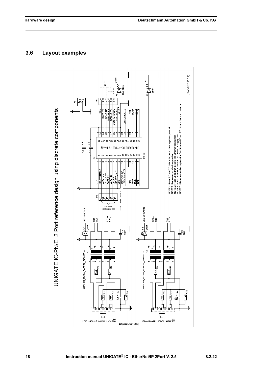### <span id="page-17-0"></span>**3.6 Layout examples**

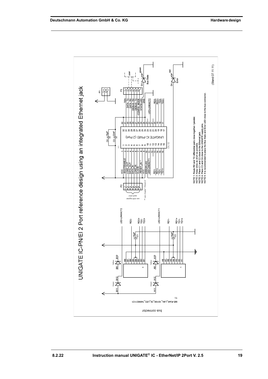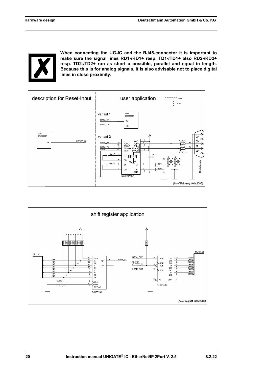

**When connecting the UG-IC and the RJ45-connector it is important to make sure the signal lines RD1-/RD1+ resp. TD1-/TD1+ also RD2-/RD2+ resp. TD2-/TD2+ run as short a possible, parallel and equal in length. Because this is for analog signals, it is also advisable not to place digital lines in close proximity.**



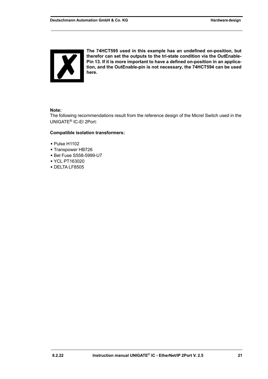

**The 74HCT595 used in this example has an undefined on-position, but therefor can set the outputs to the tri-state condition via the OutEnable-Pin 13. If it is more important to have a defined on-position in an application, and the OutEnable-pin is not necessary, the 74HCT594 can be used here.**

#### **Note:**

The following recommendations result from the reference design of the Micrel Switch used in the UNIGATE® IC-EI 2Port:

#### **Compatible isolation transformers:**

- **•** Pulse H1102
- **•** Transpower HB726
- **•** Bel Fuse S558-5999-U7
- **•** YCL PT163020
- **•** DELTA LF8505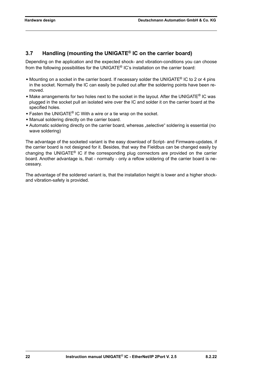## <span id="page-21-0"></span>**3.7 Handling (mounting the UNIGATE® IC on the carrier board)**

Depending on the application and the expected shock- and vibration-conditions you can choose from the following possibilities for the UNIGATE® IC's installation on the carrier board:

- **•** Mounting on a socket in the carrier board. If necessary solder the UNIGATE® IC to 2 or 4 pins in the socket. Normally the IC can easily be pulled out after the soldering points have been removed.
- **•** Make arrangements for two holes next to the socket in the layout. After the UNIGATE® IC was plugged in the socket pull an isolated wire over the IC and solder it on the carrier board at the specified holes.
- **•** Fasten the UNIGATE® IC With a wire or a tie wrap on the socket.
- **•** Manual soldering directly on the carrier board.
- Automatic soldering directly on the carrier board, whereas "selective" soldering is essential (no wave soldering)

The advantage of the socketed variant is the easy download of Script- and Firmware-updates, if the carrier board is not designed for it. Besides, that way the Fieldbus can be changed easily by changing the UNIGATE<sup>®</sup> IC if the corresponding plug connectors are provided on the carrier board. Another advantage is, that - normally - only a reflow soldering of the carrier board is necessary.

The advantage of the soldered variant is, that the installation height is lower and a higher shockand vibration-safety is provided.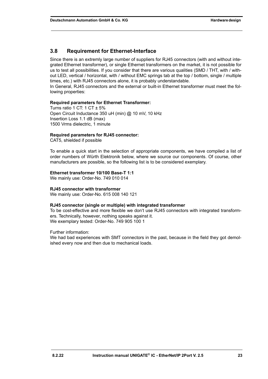#### <span id="page-22-0"></span>**3.8 Requirement for Ethernet-Interface**

Since there is an extremly large number of suppliers for RJ45 connectors (with and without integrated Ethernet transformer), or single Ethernet transformers on the market, it is not possible for us to test all possibilities. If you consider that there are various qualities (SMD / THT, with / without LED, vertical / horizontal, with / without EMC springs tab at the top / bottom, single / multiple times, etc.) with RJ45 connectors alone, it is probably understandable.

In General, RJ45 connectors and the external or built-in Ethernet transformer must meet the following properties:

#### **Required parameters for Ethernet Transformer:**

Turns ratio 1 CT: 1 CT  $\pm$  5% Open Circuit Inductance 350 uH (min) @ 10 mV, 10 kHz Insertion Loss 1.1 dB (max) 1500 Vrms dielectric, 1 minute

#### **Required parameters for RJ45 connector:**

CAT5, shielded if possible

To enable a quick start in the selection of appropriate components, we have compiled a list of order numbers of Würth Elektronik below, where we source our components. Of course, other manufacturers are possible, so the following list is to be considered exemplary.

#### **Ethernet transformer 10/100 Base-T 1:1**

We mainly use: Order-No. 749 010 014

#### **RJ45 connector with transformer**

We mainly use: Order-No. 615 008 140 121

#### **RJ45 connector (single or multiple) with integrated transformer**

To be cost-effective and more flexible we don't use RJ45 connectors with integrated transformers. Technically, however, nothing speaks against it. We exemplary tested: Order-No. 749 905 100 1

Further information:

We had bad experiences with SMT connectors in the past, because in the field they got demolished every now and then due to mechanical loads.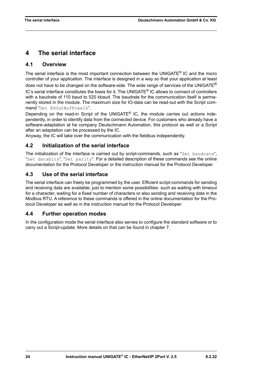## <span id="page-23-0"></span>**4 The serial interface**

### <span id="page-23-1"></span>**4.1 Overview**

The serial interface is the most important connection between the UNIGATE<sup>®</sup> IC and the micro controller of your application. The interface is designed in a way so that your application at least does not have to be changed on the software-side. The wide range of services of the UNIGATE<sup>®</sup>  $IC$ 's serial interface constitutes the basis for it. The UNIGATE<sup>®</sup> IC allows to connect of controllers with a baudrate of 110 baud to 520 kbaud. The baudrate for the communication itself is permanently stored in the module. The maximum size for IO-data can be read-out with the Script command "Get RSOutBufFree16".

Depending on the read-in Script of the UNIGATE® IC, the module carries out actions independently, in order to identify data from the connected device. For customers who already have a software-adaptation at he company Deutschmann Automation, this protocol as well or a Script after an adaptation can be processed by the IC.

Anyway, the IC will take over the communication with the fieldbus independently.

### <span id="page-23-2"></span>**4.2 Initialization of the serial interface**

The initialization of the interface is carried out by script-commands, such as "Set baudrate", "Set databits", "Set parity". For a detailed description of these commands see the online documentation for the Protocol Developer or the instruction manual for the Protocol Developer.

### <span id="page-23-3"></span>**4.3 Use of the serial interface**

The serial interface can freely be programmed by the user. Efficient script-commands for sending and receiving data are available; just to mention some possibilities: such as waiting with timeout for a character, waiting for a fixed number of characters or also sending and receiving data in the Modbus RTU. A reference to these commands is offered in the online documentation for the Protocol Developer as well as in the instruction manual for the Protocol Developer.

### <span id="page-23-4"></span>**4.4 Further operation modes**

In the configuration mode the serial interface also serves to configure the standard software or to carry out a Script-update. More details on that can be found in [chapter 7](#page-27-0).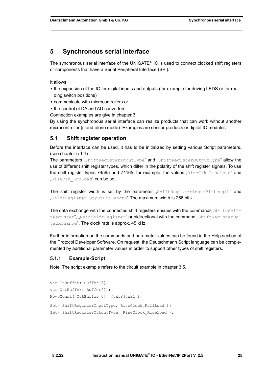## <span id="page-24-0"></span>**5 Synchronous serial interface**

The synchronous serial interface of the UNIGATE<sup>®</sup> IC is used to connect clocked shift registers or components that have a Serial Peripheral Interface (SPI).

It allows

- **•** the expansion of the IC for digital inputs and outputs (for example for driving LEDS or for reading switch positions)
- **•** communicate with microcontrollers or
- **•** the control of DA and AD converters.

Connection examples are give in [chapter 3.](#page-11-0)

By using the synchronous serial interface can realize products that can work without another microcontroller (stand-alone mode). Examples are sensor products or digital IO modules

#### <span id="page-24-1"></span>**5.1 Shift register operation**

Before the interface can be used, it has to be initialized by setting various Script parameters. (see [chapter 5.1.1\)](#page-24-2)

The parameters "ShiftRegisterInputType" and "ShiftRegisterOutputType" allow the use of different shift register types, which differ in the polarity of the shift register signals. To use the shift register types 74595 and 74165, for example, the values " $RiseClkRiseLoad"$  and "RiseClk LowLoad" can be set.

The shift register width is set by the parameter "ShiftRegisterInputBitLength" and "ShiftRegisterOutputBitLength" The maximum width is 256 bits.

The data exchange with the connected shift registers ensues with the commands " $WriteShift$ tRegister", "ReadShiftRegister" or bidirectional with the command "ShiftRegisterDataExchange". The clock rate is approx. 45 kHz.

Further information on the commands and parameter values can be found in the Help section of the Protocol Developer Software. On request, the Deutschmann Script language can be complemented by additional parameter values in order to support other types of shift registers.

#### <span id="page-24-2"></span>**5.1.1 Example-Script**

Note: The script example refers to the circuit example in [chapter 3.5](#page-15-0).

```
var InBuffer: Buffer[2];
var OutBuffer: Buffer[2];
MoveConst( OutBuffer[0], #0x58#0x21 );
Set( ShiftRegisterInputType, RiseClock FallLoad );
Set( ShiftRegisterOutputType, RiseClock RiseLoad );
```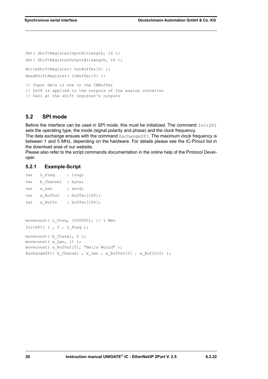```
Set( ShiftRegisterInputBitLength, 16 );
Set( ShiftRegisterOutputBitLength, 16 );
WriteShiftRegister( OutBuffer[0] );
ReadShiftRegister( InBuffer[0] );
// Input data is now in the INBuffer
// 0x58 is applied to the outputs of the analog converter
// 0x21 at the shift register's outputs
```
### <span id="page-25-0"></span>**5.2 SPI mode**

Before the interface can be used in SPI mode, this must be initialized. The command InitSPI sets the operating type, the mode (signal polarity and phase) and the clock frequency.

The data exchange ensues with the command ExchangeSPI. The maximum clock frequency is between 1 and 5 MHz, depending on the hardware. For details please see the IC-Pinout list in the download area of our website.

Please also refer to the script commands documentation in the online help of the Protocol Developer.

#### <span id="page-25-1"></span>**5.2.1 Example-Script**

|                                            | var L Freq : long;               |  |                                                             |
|--------------------------------------------|----------------------------------|--|-------------------------------------------------------------|
|                                            | var b Channel : byte;            |  |                                                             |
|                                            | var w Len : word;                |  |                                                             |
|                                            |                                  |  | var a BufOut : buffer[100];                                 |
|                                            |                                  |  | var a BufIn : buffer[100];                                  |
|                                            |                                  |  |                                                             |
|                                            |                                  |  |                                                             |
|                                            |                                  |  | moveconst (L Freq, 1000000); // 1 MHz                       |
|                                            | InitSPI( $1$ , $0$ , $L$ Freq ); |  |                                                             |
|                                            | moveconst ( b Chanel, 0 );       |  |                                                             |
|                                            | moveconst ( $w$ Len, 11);        |  |                                                             |
| moveconst ( a BufOut [0], "Hello World" ); |                                  |  |                                                             |
|                                            |                                  |  | ExchangeSPI (b Channel, w Len, a BufOut [0], a BufIn [0] ); |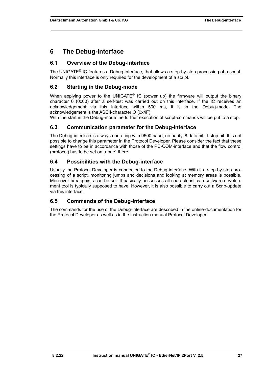## <span id="page-26-0"></span>**6 The Debug-interface**

### <span id="page-26-1"></span>**6.1 Overview of the Debug-interface**

The UNIGATE® IC features a Debug-interface, that allows a step-by-step processing of a script. Normally this interface is only required for the development of a script.

### <span id="page-26-2"></span>**6.2 Starting in the Debug-mode**

When applying power to the UNIGATE<sup>®</sup> IC (power up) the firmware will output the binary character 0 (0x00) after a self-test was carried out on this interface. If the IC receives an acknowledgement via this interface within 500 ms, it is in the Debug-mode. The acknowledgement is the ASCII-character O (0x4F).

With the start in the Debug-mode the further execution of script-commands will be put to a stop.

#### <span id="page-26-3"></span>**6.3 Communication parameter for the Debug-interface**

The Debug-interface is always operating with 9600 baud, no parity, 8 data bit, 1 stop bit. It is not possible to change this parameter in the Protocol Developer. Please consider the fact that these settings have to be in accordance with those of the PC-COM-interface and that the flow control (protocol) has to be set on "none" there.

### <span id="page-26-4"></span>**6.4 Possibilities with the Debug-interface**

Usually the Protocol Developer is connected to the Debug-interface. With it a step-by-step processing of a script, monitoring jumps and decisions and looking at memory areas is possible. Moreover breakpoints can be set. It basically possesses all characteristics a software-development tool is typically supposed to have. However, it is also possible to carry out a Scrip-update via this interface.

### <span id="page-26-5"></span>**6.5 Commands of the Debug-interface**

The commands for the use of the Debug-interface are described in the online-documentation for the Protocol Developer as well as in the instruction manual Protocol Developer.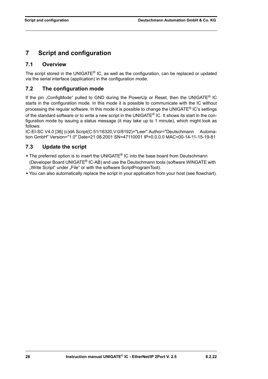## <span id="page-27-0"></span>**7 Script and configuration**

### <span id="page-27-1"></span>**7.1 Overview**

The script stored in the UNIGATE<sup>®</sup> IC, as well as the configuration, can be replaced or updated via the serial interface (application) in the configuration mode.

### <span id="page-27-2"></span>**7.2 The configuration mode**

If the pin "ConfigMode" pulled to GND during the PowerUp or Reset, then the UNIGATE® IC starts in the configuration mode. In this mode it is possible to communicate with the IC without processing the regular software. In this mode it is possible to change the UNIGATE® IC's settings of the standard software or to write a new script in the UNIGATE<sup>®</sup> IC. It shows its start in the configuration mode by issuing a status message (it may take up to 1 minute), which might look as follows:

IC-EI-SC V4.0 [36] (c)dA Script(C:51/16320,V:0/8192)="Leer" Author="Deutschmann Automation GmbH" Version="1.0" Date=21.08.2001 SN=47110001 IP=0.0.0.0 MAC=00-14-11-15-19-81

### <span id="page-27-3"></span>**7.3 Update the script**

- **•** The preferred option is to insert the UNIGATE® IC into the base board from Deutschmann (Developer Board UNIGATE® IC-AB) and use the Deutschmann tools (software WINGATE with "Write Script" under "File" or with the software ScriptProgramTool).
- **•** You can also automatically replace the script in your application from your host (see flowchart).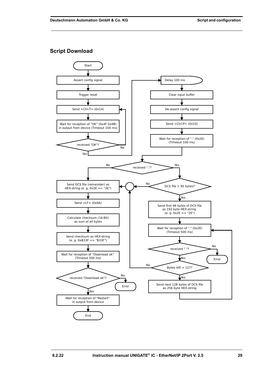#### **Script Download**

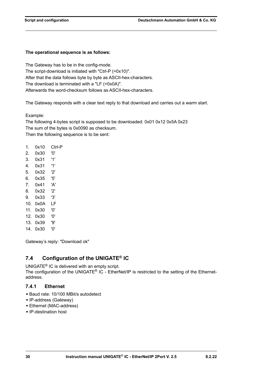#### **The operational sequence is as follows:**

The Gateway has to be in the config-mode. The script-download is initiated with "Ctrl-P (=0x10)". After that the data follows byte by byte as ASCII-hex-characters. The download is terminated with a "LF (=0x0A)". Afterwards the word-checksum follows as ASCII-hex-characters.

The Gateway responds with a clear text reply to that download and carries out a warm start.

Example:

The following 4-bytes script is supposed to be downloaded: 0x01 0x12 0x5A 0x23 The sum of the bytes is 0x0090 as checksum. Then the following sequence is to be sent:

- 1. 0x10 Ctrl-P
- 2. 0x30 '0'
- 3. 0x31 '1'
- 4. 0x31 '1'
- 5. 0x32 '2'
- 6. 0x35 '5'
- 7. 0x41 'A'
- 8. 0x32 '2'
- 9. 0x33 '3'
- 10. 0x0A LF
- 11. 0x30 '0'
- 12. 0x30 '0'
- 13. 0x39 '9'
- 14. 0x30 '0'

Gateway's reply: "Download ok"

### <span id="page-29-0"></span>**7.4 Configuration of the UNIGATE® IC**

UNIGATE® IC is delivered with an empty script. The configuration of the UNIGATE® IC - EtherNet/IP is restricted to the setting of the Ethernetaddress.

#### <span id="page-29-1"></span>**7.4.1 Ethernet**

- **•** Baud rate: 10/100 MBit/s autodetect
- **•** IP-address (Gateway)
- **•** Ethernet (MAC-address)
- **•** IP-destination host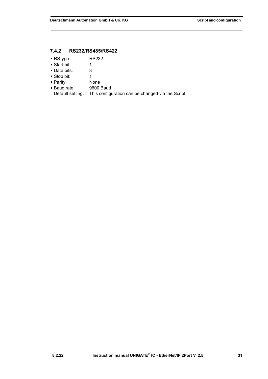#### <span id="page-30-0"></span>**7.4.2 RS232/RS485/RS422**

- **•** RS-ype: RS232
- **•** Start bit: 1
- 
- **•** Data bits: 8 • Stop bit:
- 
- Parity: None<br>• Baud rate: 9600 Baud
- Baud rate:<br>Default setting. This configuration can be changed via the Script.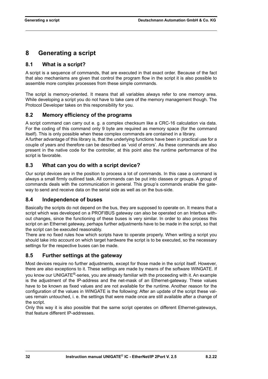## <span id="page-31-0"></span>**8 Generating a script**

### <span id="page-31-1"></span>**8.1 What is a script?**

A script is a sequence of commands, that are executed in that exact order. Because of the fact that also mechanisms are given that control the program flow in the script it is also possible to assemble more complex processes from these simple commands.

The script is memory-oriented. It means that all variables always refer to one memory area. While developing a script you do not have to take care of the memory management though. The Protocol Developer takes on this responsibility for you.

### <span id="page-31-2"></span>**8.2 Memory efficiency of the programs**

A script command can carry out e. g. a complex checksum like a CRC-16 calculation via data. For the coding of this command only 9 byte are required as memory space (for the command itself). This is only possible when these complex commands are contained in a library.

A further advantage of this library is, that the underlying functions have been in practical use for a couple of years and therefore can be described as 'void of errors'. As these commands are also present in the native code for the controller, at this point also the runtime performance of the script is favorable.

### <span id="page-31-3"></span>**8.3 What can you do with a script device?**

Our script devices are in the position to process a lot of commands. In this case a command is always a small firmly outlined task. All commands can be put into classes or groups. A group of commands deals with the communication in general. This group's commands enable the gateway to send and receive data on the serial side as well as on the bus-side.

### <span id="page-31-4"></span>**8.4 Independence of buses**

Basically the scripts do not depend on the bus, they are supposed to operate on. It means that a script which was developed on a PROFIBUS gateway can also be operated on an Interbus without changes, since the functioning of these buses is very similar. In order to also process this script on an Ethernet gateway, perhaps further adjustments have to be made in the script, so that the script can be executed reasonably.

There are no fixed rules how which scripts have to operate properly. When writing a script you should take into account on which target hardware the script is to be executed, so the necessary settings for the respective buses can be made.

### <span id="page-31-5"></span>**8.5 Further settings at the gateway**

Most devices require no further adjustments, except for those made in the script itself. However, there are also exceptions to it. These settings are made by means of the software WINGATE. If you know our UNIGATE®-series, you are already familiar with the proceeding with it. An example is the adjustment of the IP-address and the net-mask of an Ethernet-gateway. These values have to be known as fixed values and are not available for the runtime. Another reason for the configuration of the values in WINGATE is the following: After an update of the script these values remain untouched, i. e. the settings that were made once are still available after a change of the script.

Only this way it is also possible that the same script operates on different Ethernet-gateways, that feature different IP-addresses.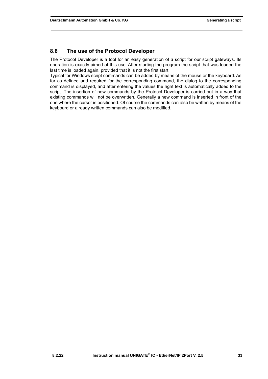### <span id="page-32-0"></span>**8.6 The use of the Protocol Developer**

The Protocol Developer is a tool for an easy generation of a script for our script gateways. Its operation is exactly aimed at this use. After starting the program the script that was loaded the last time is loaded again, provided that it is not the first start.

Typical for Windows script commands can be added by means of the mouse or the keyboard. As far as defined and required for the corresponding command, the dialog to the corresponding command is displayed, and after entering the values the right text is automatically added to the script. The insertion of new commands by the Protocol Developer is carried out in a way that existing commands will not be overwritten. Generally a new command is inserted in front of the one where the cursor is positioned. Of course the commands can also be written by means of the keyboard or already written commands can also be modified.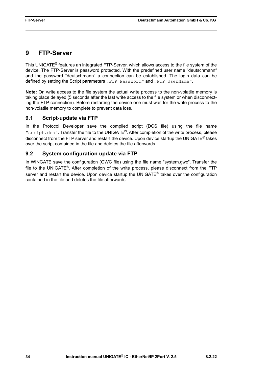## <span id="page-33-0"></span>**9 FTP-Server**

This UNIGATE® features an integrated FTP-Server, which allows access to the file system of the device. The FTP-Server is password protected. With the predefined user name "deutschmann" and the password "deutschmann" a connection can be established. The login data can be defined by setting the Script parameters "FTP Password" and "FTP UserName".

**Note:** On write access to the file system the actual write process to the non-volatile memory is taking place delayed (5 seconds after the last write access to the file system or when disconnecting the FTP connection). Before restarting the device one must wait for the write process to the non-volatile memory to complete to prevent data loss.

### <span id="page-33-1"></span>**9.1 Script-update via FTP**

In the Protocol Developer save the compiled script (DCS file) using the file name "script.dcs". Transfer the file to the UNIGATE®. After completion of the write process, please disconnect from the FTP server and restart the device. Upon device startup the UNIGATE® takes over the script contained in the file and deletes the file afterwards.

### <span id="page-33-2"></span>**9.2 System configuration update via FTP**

In WINGATE save the configuration (GWC file) using the file name "system.gwc". Transfer the file to the UNIGATE®. After completion of the write process, please disconnect from the FTP server and restart the device. Upon device startup the UNIGATE<sup>®</sup> takes over the configuration contained in the file and deletes the file afterwards.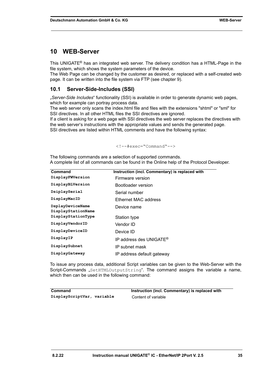### <span id="page-34-0"></span>**10 WEB-Server**

This UNIGATE® has an integrated web server. The delivery condition has a HTML-Page in the file system, which shows the system parameters of the device.

The Web Page can be changed by the customer as desired, or replaced with a self-created web page. It can be written into the file system via FTP (see [chapter 9\)](#page-33-0).

### <span id="page-34-1"></span>**10.1 Server-Side-Includes (SSI)**

"*Server-Side Includes*" functionality (SSI) is available in order to generate dynamic web pages, which for example can portray process data.

The web server only scans the index.html file and files with the extensions "shtml" or "sml" for SSI directives. In all other HTML files the SSI directives are ignored.

If a client is asking for a web page with SSI directives the web server replaces the directives with the web server's instructions with the appropriate values and sends the generated page. SSI directives are listed within HTML comments and have the following syntax:

#### <!--#exec="Command"-->

The following commands are a selection of supported commands. A complete list of all commands can be found in the Online help of the Protocol Developer.

| Command                                | Instruction (incl. Commentary) is replaced with |
|----------------------------------------|-------------------------------------------------|
| DisplayFWVersion                       | Firmware version                                |
| DisplayBLVersion                       | Bootloader version                              |
| DsiplaySerial                          | Serial number                                   |
| DisplayMacID                           | Ethernet MAC address                            |
| DsplayDeviceName<br>DisplayStationName | Device name                                     |
| DisplayStationType                     | Station type                                    |
| DisplayVendorID                        | Vendor ID                                       |
| DisplayDeviceID                        | Device ID                                       |
| DisplayIP                              | IP address des UNIGATE <sup>®</sup>             |
| DisplaySubnet                          | IP subnet mask                                  |
| DisplayGateway                         | IP address default gateway                      |

To issue any process data, additional Script variables can be given to the Web-Server with the Script-Commands "SetHTMLOutputString". The command assigns the variable a name, which then can be used in the following command:

| Command                    | Instruction (incl. Commentary) is replaced with |
|----------------------------|-------------------------------------------------|
| DisplayScriptVar, variable | Content of variable                             |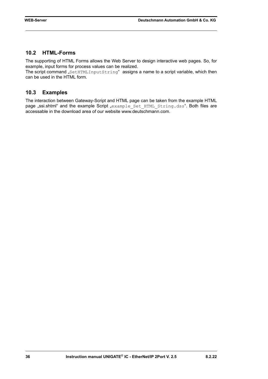### <span id="page-35-0"></span>**10.2 HTML-Forms**

The supporting of HTML Forms allows the Web Server to design interactive web pages. So, for example, input forms for process values can be realized.

The script command "SetHTMLInputString" assigns a name to a script variable, which then can be used in the HTML form.

#### <span id="page-35-1"></span>**10.3 Examples**

The interaction between Gateway-Script and HTML page can be taken from the example HTML page "ssi.shtml" and the example Script "example Set HTML String.dss". Both files are accessable in the download area of our website www.deutschmann.com.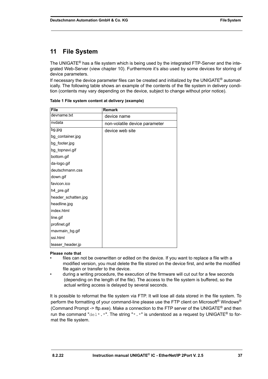## <span id="page-36-0"></span>**11 File System**

The UNIGATE<sup>®</sup> has a file system which is being used by the integrated FTP-Server and the integrated Web-Server (view [chapter 10](#page-34-0)). Furthermore it's also used by some devices for storing of device parameters.

If necessary the device parameter files can be created and initialized by the UNIGATE<sup>®</sup> automatically. The following table shows an example of the contents of the file system in delivery condition (contents may vary depending on the device, subject to change without prior notice).

| <b>File</b>         | <b>Remark</b>                 |
|---------------------|-------------------------------|
| devname.txt         | device name                   |
| nvdata              | non-volatile device parameter |
| bg.jpg              | device web site               |
| bg_container.jpg    |                               |
| bg_footer.jpg       |                               |
| bg_topnavi.gif      |                               |
| bottom.gif          |                               |
| da-logo.gif         |                               |
| deutschmann.css     |                               |
| down.gif            |                               |
| favicon.ico         |                               |
| h4_pre.gif          |                               |
| header_schatten.jpg |                               |
| headline.jpg        |                               |
| index.html          |                               |
| line.gif            |                               |
| profinet.gif        |                               |
| rnavmain_bg.gif     |                               |
| ssi.html            |                               |
| teaser_header.jp    |                               |

**Table 1 File system content at delivery (example)**

#### **Please note that**

- files can not be overwritten or edited on the device. If you want to replace a file with a modified version, you must delete the file stored on the device first, and write the modified file again or transfer to the device.
- during a writing procedure, the execution of the firmware will cut out for a few seconds (depending on the length of the file). The access to the file system is buffered, so the actual writing access is delayed by several seconds.

It is possible to reformat the file system via FTP. It will lose all data stored in the file system. To perform the formatting of your command-line please use the FTP client on Microsoft<sup>®</sup> Windows<sup>®</sup> (Command Prompt -> ftp.exe). Make a connection to the FTP server of the UNIGATE<sup>®</sup> and then run the command "del\*.\*". The string "\*.\*" is understood as a request by UNIGATE<sup>®</sup> to format the file system.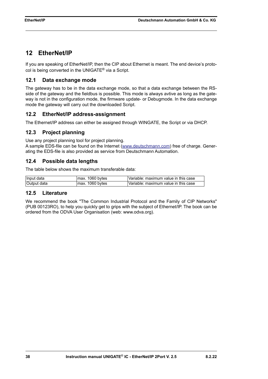## <span id="page-37-0"></span>**12 EtherNet/IP**

If you are speaking of EtherNet/IP, then the CIP about Ethernet is meant. The end device's protocol is being converted in the UNIGATE® via a Script.

### <span id="page-37-1"></span>**12.1 Data exchange mode**

The gateway has to be in the data exchange mode, so that a data exchange between the RSside of the gateway and the fieldbus is possible. This mode is always avtive as long as the gateway is not in the configuration mode, the firmware update- or Debugmode. In the data exchange mode the gateway will carry out the downloaded Script.

### <span id="page-37-2"></span>**12.2 EtherNet/IP address-assignment**

The Ethernet/IP address can either be assigned through WINGATE, the Script or via DHCP.

### <span id="page-37-3"></span>**12.3 Project planning**

Use any project planning tool for project planning.

A sample EDS-file can be found on the Internet (www.deutschmann.com) free of charge. Generating the EDS-file is also provided as service from Deutschmann Automation.

### <span id="page-37-4"></span>**12.4 Possible data lengths**

The table below shows the maximum transferable data:

| ∣Input data | max. 1060 bytes | 'Variable: maximum value in this case |
|-------------|-----------------|---------------------------------------|
| Output data | max. 1060 bytes | 'Variable: maximum value in this case |

### <span id="page-37-5"></span>**12.5 Literature**

We recommend the book "The Common Industrial Protocol and the Family of CIP Networks" (PUB 00123RO), to help you quickly get to grips with the subject of Ethernet/IP. The book can be ordered from the ODVA User Organisation (web: www.odva.org).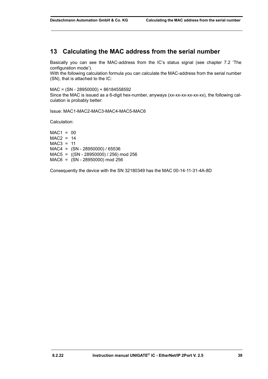## <span id="page-38-0"></span>**13 Calculating the MAC address from the serial number**

Basically you can see the MAC-address from the IC's status signal [\(see chapter 7.2 'The](#page-27-2)  [configuration mode'\).](#page-27-2)

With the following calculation formula you can calculate the MAC-address from the serial number (SN), that is attached to the IC:

MAC = (SN - 28950000) + 86184558592

Since the MAC is issued as a 6-digit hex-number, anyways (xx-xx-xx-xx-xx-xx), the following calculation is probably better:

Issue: MAC1-MAC2-MAC3-MAC4-MAC5-MAC6

Calculation:

 $MAC1 = 00$  $MAC2 = 14$  $MAC3 = 11$  $MAC4 = (SN - 28950000) / 65536$ MAC5 = ((SN - 28950000) / 256) mod 256 MAC6 = (SN - 28950000) mod 256

Consequently the device with the SN 32180349 has the MAC 00-14-11-31-4A-8D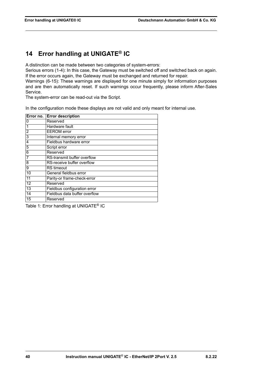## <span id="page-39-0"></span>**14 Error handling at UNIGATE® IC**

A distinction can be made between two categories of system-errors:

Serious errors (1-4): In this case, the Gateway must be switched off and switched back on again. If the error occurs again, the Gateway must be exchanged and returned for repair.

Warnings (6-15): These warnings are displayed for one minute simply for information purposes and are then automatically reset. If such warnings occur frequently, please inform After-Sales Service.

The system-error can be read-out via the Script.

In the configuration mode these displays are not valid and only meant for internal use.

|                | Error no. Error description   |
|----------------|-------------------------------|
| 0              | Reserved                      |
|                | Hardware fault                |
| $\overline{2}$ | <b>EEROM</b> error            |
| 3              | Internal memory error         |
| 4              | Fieldbus hardware error       |
| 5              | Script error                  |
| 6              | Reserved                      |
| 7              | RS-transmit buffer overflow   |
| 8              | RS-receive buffer overflow    |
| 9              | <b>RS</b> timeout             |
| 10             | General fieldbus error        |
| 11             | Parity-or frame-check-error   |
| 12             | Reserved                      |
| 13             | Fieldbus configuration error  |
| 14             | Fieldbus data buffer overflow |
| 15             | Reserved                      |

Table 1: Error handling at UNIGATE® IC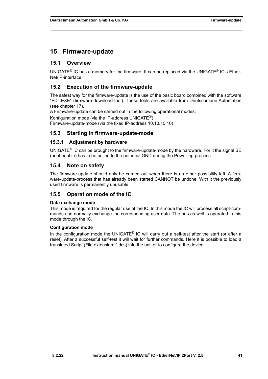## <span id="page-40-0"></span>**15 Firmware-update**

#### <span id="page-40-1"></span>**15.1 Overview**

UNIGATE® IC has a memory for the firmware. It can be replaced via the UNIGATE® IC's Ether-Net/IP-interface.

### <span id="page-40-2"></span>**15.2 Execution of the firmware-update**

The safest way for the firmware-update is the use of the basic board combined with the software "FDT.EXE" (firmware-download-tool). These tools are available from Deutschmann Automation (see [chapter 17\)](#page-44-0).

A Firmware-update can be carried out in the following operational modes:

Konfiguration mode (via the IP-address UNIGATE<sup>®</sup>) Firmware-update-mode (via the fixed IP-address 10.10.10.10)

#### <span id="page-40-3"></span>**15.3 Starting in firmware-update-mode**

#### <span id="page-40-4"></span>**15.3.1 Adjustment by hardware**

UNIGATE<sup>®</sup> IC can be brought to the firmware-update-mode by the hardware. For it the signal  $\overline{BE}$ (boot enable) has to be pulled to the potential GND during the Power-up-process.

#### <span id="page-40-5"></span>**15.4 Note on safety**

The firmware-update should only be carried out when there is no other possibility left. A firmware-update-process that has already been started CANNOT be undone. With it the previously used firmware is permanently unusable.

#### <span id="page-40-6"></span>**15.5 Operation mode of the IC**

#### **Data exchange mode**

This mode is required for the regular use of the IC. In this mode the IC will process all script-commands and normally exchange the corresponding user data. The bus as well is operated in this mode through the IC.

#### **Configuration mode**

In the configuration mode the UNIGATE® IC will carry out a self-test after the start (or after a reset). After a successful self-test it will wait for further commands. Here it is possible to load a translated Script (File extension: \*.dcs) into the unit or to configure the device.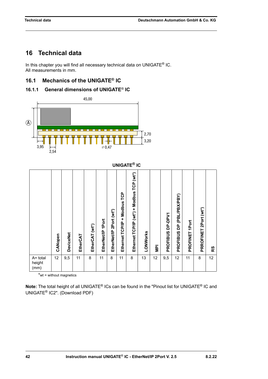## <span id="page-41-0"></span>**16 Technical data**

In this chapter you will find all necessary technical data on UNIGATE<sup>®</sup> IC. All measurements in mm.

### <span id="page-41-1"></span>**16.1 Mechanics of the UNIGATE® IC**

<span id="page-41-2"></span>



|                               |         |                  |          |                |                   |                            |                                            | <b>UNIGATE® IC</b>                       |          |                |                            |                                                    |                   |                          |    |
|-------------------------------|---------|------------------|----------|----------------|-------------------|----------------------------|--------------------------------------------|------------------------------------------|----------|----------------|----------------------------|----------------------------------------------------|-------------------|--------------------------|----|
|                               | CANopen | <b>DeviceNet</b> | EtherCAT | EtherCAT (wt*) | EtherNet/IP 1Port | 2Port (wt*)<br>EtherNet/IP | Modbus TCP<br>$\ddot{}$<br>Ethernet TCP/IP | Ethernet TCP/IP (wt*) + Modbus TCP (wt*) | LONWorks | $\overline{P}$ | DP-DPV1<br><b>PROFIBUS</b> | (PBL/PBX/PBY)<br>$\overline{a}$<br><b>PROFIBUS</b> | 1Port<br>PROFINET | 2Port (wt*)<br>PRROFINET | RS |
| $A = total$<br>height<br>(mm) | 12      | 9,5              | 11       | 8              | 11                | 8                          | 11                                         | 8                                        | 13       | 12             | 9,5                        | 12                                                 | 11                | 8                        | 12 |

\*wt = without magnetics

**Note:** The total height of all UNIGATE® ICs can be found in the "Pinout list for UNIGATE® IC and UNIGATE® [IC2". \(Download PDF\)](https://www.deutschmann.de/downloads//Support/Unigate-IC/UNIGATE%20IC%20and%20IC2%20device%20family%20pinout.pdf)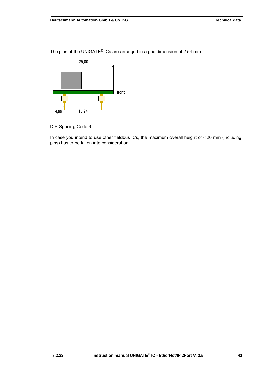



DIP-Spacing Code 6

In case you intend to use other fieldbus ICs, the maximum overall height of  $\leq$  20 mm (including pins) has to be taken into consideration.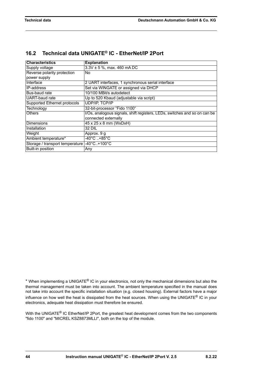### <span id="page-43-0"></span>**16.2 Technical data UNIGATE® IC - EtherNet /IP 2Port**

| <b>Characteristics</b>                       | <b>Explanation</b>                                                        |  |  |  |  |
|----------------------------------------------|---------------------------------------------------------------------------|--|--|--|--|
| Supply voltage                               | $3.3V \pm 5$ %, max. 460 mA DC                                            |  |  |  |  |
| Reverse polarity protection                  | No                                                                        |  |  |  |  |
| power supply                                 |                                                                           |  |  |  |  |
| Interface                                    | 2 UART interfaces, 1 synchronous serial interface                         |  |  |  |  |
| IP-address                                   | Set via WINGATE or assigned via DHCP                                      |  |  |  |  |
| Bus-baud rate                                | 10/100 MBit/s autodetect                                                  |  |  |  |  |
| UART-baud rate                               | Up to 520 Kbaud (adjustable via script)                                   |  |  |  |  |
| Supported Ethernet protocols                 | <b>UDP/IP, TCP/IP</b>                                                     |  |  |  |  |
| Technology                                   | 32-bit-processor "Fido 1100"                                              |  |  |  |  |
| <b>Others</b>                                | I/Os, analogous signals, shift registers, LEDs, switches and so on can be |  |  |  |  |
|                                              | connected externally                                                      |  |  |  |  |
| <b>Dimensions</b>                            | 45 x 25 x 8 mm (WxDxH)                                                    |  |  |  |  |
| Installation                                 | 32 DIL                                                                    |  |  |  |  |
| Weight                                       | Approx. 9 g                                                               |  |  |  |  |
| Ambient temperature*                         | $-40^{\circ}$ C $. +85^{\circ}$ C                                         |  |  |  |  |
| Storage / transport temperature  -40°C+100°C |                                                                           |  |  |  |  |
| Built-in position                            | Any                                                                       |  |  |  |  |

\* When implementing a UNIGATE® IC in your electronics, not only the mechanical dimensions but also the thermal management must be taken into account. The ambient temperature specified in the manual does not take into account the specific installation situation (e.g. closed housing). External factors have a major influence on how well the heat is dissipated from the heat sources. When using the UNIGATE<sup>®</sup> IC in your electronics, adequate heat dissipation must therefore be ensured.

With the UNIGATE<sup>®</sup> IC EtherNet/IP 2Port, the greatest heat development comes from the two components "fido 1100" and "MICREL KSZ8873MLLI", both on the top of the module.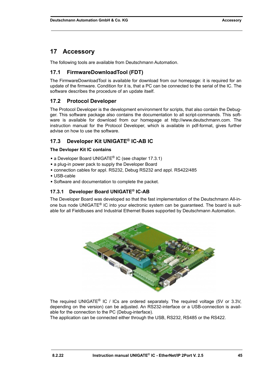## <span id="page-44-0"></span>**17 Accessory**

The following tools are available from Deutschmann Automation.

### <span id="page-44-1"></span>**17.1 FirmwareDownloadTool (FDT)**

The FirmwareDownloadTool is available for download from our homepage: it is required for an update of the firmware. Condition for it is, that a PC can be connected to the serial of the IC. The software describes the procedure of an update itself.

### <span id="page-44-2"></span>**17.2 Protocol Developer**

[The Protocol Developer is the development environment for scripts, that also contain the Debug](http://www.deutschmann.com)ger. This software package also contains the documentation to all script-commands. This software is available for download from our homepage at http://www.deutschmann.com. The instruction manual for the Protocol Developer, which is available in pdf-format, gives further advise on how to use the software.

### <span id="page-44-3"></span>**17.3 Developer Kit UNIGATE® IC-AB IC**

#### **The Devloper Kit IC contains**

- **•** a Developer Board UNIGATE® IC (see [chapter 17.3.1\)](#page-44-4)
- **•** a plug-in power pack to supply the Developer Board
- **•** connection cables for appl. RS232, Debug RS232 and appl. RS422/485
- **•** USB-cable
- **•** Software and documentation to complete the packet.

### <span id="page-44-4"></span>**17.3.1 Developer Board UNIGATE® IC-AB**

The Developer Board was developed so that the fast implementation of the Deutschmann All-inone bus node UNIGATE® IC into your electronic system can be guaranteed. The board is suitable for all Fieldbuses and Industrial Ethernet Buses supported by Deutschmann Automation.



The required UNIGATE® IC / ICs are ordered separately. The required voltage (5V or 3.3V, depending on the version) can be adjusted. An RS232-interface or a USB-connection is available for the connection to the PC (Debug-interface).

The application can be connected either through the USB, RS232, RS485 or the RS422.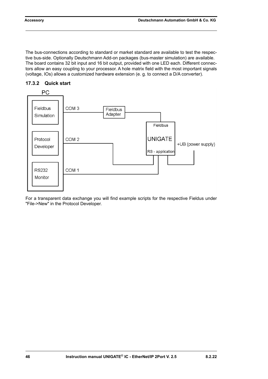The bus-connections according to standard or market standard are available to test the respective bus-side. Optionally Deutschmann Add-on packages (bus-master simulation) are available. The board contains 32 bit input and 16 bit output, provided with one LED each. Different connectors allow an easy coupling to your processor. A hole matrix field with the most important signals (voltage, IOs) allows a customized hardware extension (e. g. to connect a D/A converter).



#### <span id="page-45-0"></span>**17.3.2 Quick start**

For a transparent data exchange you will find example scripts for the respective Fieldus under "File->New" in the Protocol Developer.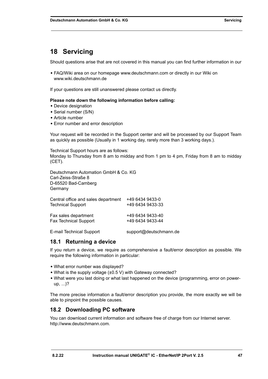## <span id="page-46-0"></span>**18 Servicing**

Should questions arise that are not covered in this manual you can find further information in our

**•** [FAQ/Wiki area on our homepage www.deutschmann.com or directly in our Wiki on](http://www.deutschmann.com)  [www.wiki.deutschmann.de](http://wiki.deutschmann.de/index.php?title=Deutschmann_Wiki/en)

If your questions are still unanswered please contact us directly.

#### **Please note down the following information before calling:**

- **•** Device designation
- **•** Serial number (S/N)
- **•** Article number
- **•** Error number and error description

Your request will be recorded in the Support center and will be processed by our Support Team as quickly as possible (Usually in 1 working day, rarely more than 3 working days.).

Technical Support hours are as follows: Monday to Thursday from 8 am to midday and from 1 pm to 4 pm, Friday from 8 am to midday (CET).

Deutschmann Automation GmbH & Co. KG Carl-Zeiss-Straße 8 D-65520 Bad-Camberg **Germany** 

| Central office and sales department | +49 6434 9433-0        |
|-------------------------------------|------------------------|
| <b>Technical Support</b>            | +49 6434 9433-33       |
| Fax sales department                | +49 6434 9433-40       |
| <b>Fax Technical Support</b>        | +49 6434 9433-44       |
| E-mail Technical Support            | support@deutschmann.de |

### <span id="page-46-1"></span>**18.1 Returning a device**

If you return a device, we require as comprehensive a fault/error description as possible. We require the following information in particular:

- **•** What error number was displayed?
- **•** What is the supply voltage (±0.5 V) with Gateway connected?
- **•** What were you last doing or what last happened on the device (programming, error on powerup, ...)?

The more precise information a fault/error description you provide, the more exactly we will be able to pinpoint the possible causes.

### <span id="page-46-2"></span>**18.2 Downloading PC software**

You can download current information and software free of charge from our Internet server. [http://www.deutschmann.com.](http://www.deutschmann.com)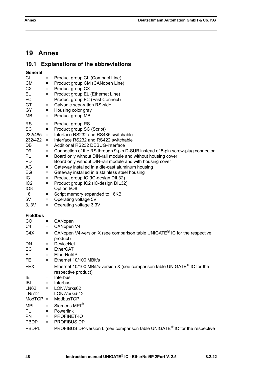## <span id="page-47-0"></span>**19 Annex**

## <span id="page-47-1"></span>**19.1 Explanations of the abbreviations**

| General         |          |                                                                                        |
|-----------------|----------|----------------------------------------------------------------------------------------|
| CL              | $=$      | Product group CL (Compact Line)                                                        |
| СM              | $=$      | Product group CM (CANopen Line)                                                        |
| СX              | $=$      | Product group CX                                                                       |
| EL              | $=$      | Product group EL (Ethernet Line)                                                       |
| FC              | $=$      | Product group FC (Fast Connect)                                                        |
| GT              | $=$      | Galvanic separation RS-side                                                            |
| GY              | $=$      | Housing color gray                                                                     |
| ΜВ              | $=$      | Product group MB                                                                       |
| RS              | $=$      | Product group RS                                                                       |
| SC              | $=$      | Product group SC (Script)                                                              |
| 232/485         | $=$      | Interface RS232 and RS485 switchable                                                   |
| 232/422 =       |          | Interface RS232 and RS422 switchable                                                   |
| DB              | $=$      | Additional RS232 DEBUG-interface                                                       |
| D9              | $=$      | Connection of the RS through 9-pin D-SUB instead of 5-pin screw-plug connector         |
| PL              | $=$      | Board only without DIN-rail module and without housing cover                           |
| PD              | $=$      | Board only without DIN-rail module and with housing cover                              |
| AG              | $=$      | Gateway installed in a die-cast aluminum housing                                       |
| EG              | $=$      | Gateway installed in a stainless steel housing                                         |
| IC.             | $=$      | Product group IC (IC-design DIL32)                                                     |
| IC <sub>2</sub> | $=$      | Product group IC2 (IC-design DIL32)                                                    |
| 108             | $=$      | Option I/O8                                                                            |
| 16              | $=$      | Script memory expanded to 16KB                                                         |
| 5V.             | $=$      | Operating voltage 5V                                                                   |
| 3,3V            | $=$      | Operating voltage 3.3V                                                                 |
|                 |          |                                                                                        |
| <b>Fieldbus</b> |          |                                                                                        |
| CO              | Ξ        | CANopen                                                                                |
| C4              | $=$      | CANopen V4                                                                             |
| C4X             | $=$      | CANopen V4-version X (see comparison table UNIGATE <sup>®</sup> IC for the respective  |
|                 |          | product)                                                                               |
| DN              | $=$      | <b>DeviceNet</b>                                                                       |
| EС              | $=$      | EtherCAT                                                                               |
| ΕI              | $=$      | EtherNet/IP                                                                            |
| FE.             | $=$      | Ethernet 10/100 MBit/s                                                                 |
| FEX             | $=$      | Ethernet 10/100 MBit/s-version X (see comparison table UNIGATE <sup>®</sup> IC for the |
|                 |          | respective product)                                                                    |
| ΙB              | =        | Interbus                                                                               |
| IBL             | $=$      | Interbus                                                                               |
| LN62            | $=$      | LONWorks62                                                                             |
| LN512           | $=$      | LONWorks512                                                                            |
| ModTCP          | $\equiv$ | ModbusTCP                                                                              |
| MPI             | $=$      | Siemens MPI®                                                                           |
| PL              | $=$      | Powerlink                                                                              |
| PN              | $=$      | PROFINET-IO                                                                            |
| PBDP            | $=$      | PROFIBUS DP                                                                            |
| <b>PBDPL</b>    | $=$      | PROFIBUS DP-version L (see comparison table UNIGATE <sup>®</sup> IC for the respective |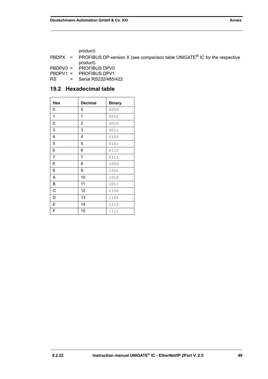product)

PBDPX = PROFIBUS DP-version X (see comparison table UNIGATE<sup>®</sup> IC for the respective product)

PBDPV0 = PROFIBUS DPV0 PBDPV1 = PROFIBUS DPV1 RS = Serial RS232/485/422

### <span id="page-48-0"></span>**19.2 Hexadecimal table**

| Hex | <b>Decimal</b> | <b>Binary</b> |
|-----|----------------|---------------|
| 0   | 0              | 0000          |
| 1   | 1              | 0001          |
| 2   | $\overline{c}$ | 0010          |
| 3   | 3              | 0011          |
| 4   | 4              | 0100          |
| 5   | 5              | 0101          |
| 6   | 6              | 0110          |
| 7   | 7              | 0111          |
| 8   | 8              | 1000          |
| 9   | 9              | 1001          |
| Α   | 10             | 1010          |
| В   | 11             | 1011          |
| С   | 12             | 1100          |
| D   | 13             | 1101          |
| E   | 14             | 1110          |
| F   | 15             | 1111          |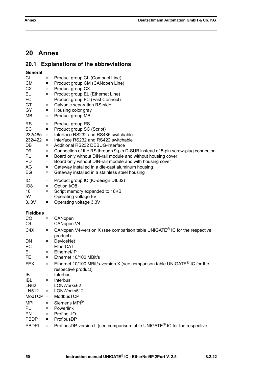## <span id="page-49-0"></span>**20 Annex**

## <span id="page-49-1"></span>**20.1 Explanations of the abbreviations**

| General<br>CL<br><b>CM</b><br><b>CX</b><br>EL.<br>FC<br>GT<br>GY<br>ΜВ                                      | $=$<br>$=$<br>$=$<br>$=$<br>$=$<br>$=$<br>$=$<br>$=$     | Product group CL (Compact Line)<br>Product group CM (CANopen Line)<br>Product group CX<br>Product group EL (Ethernet Line)<br>Product group FC (Fast Connect)<br>Galvanic separation RS-side<br>Housing color gray<br>Product group MB                                                                                                                                                                                                                                                 |
|-------------------------------------------------------------------------------------------------------------|----------------------------------------------------------|----------------------------------------------------------------------------------------------------------------------------------------------------------------------------------------------------------------------------------------------------------------------------------------------------------------------------------------------------------------------------------------------------------------------------------------------------------------------------------------|
| <b>RS</b><br><b>SC</b><br>$232/485 =$<br>$232/422 =$<br>DB<br>D <sub>9</sub><br>PL<br><b>PD</b><br>AG<br>EG | ÷.<br>$=$<br>$=$<br>$=$<br>$=$<br>$=$<br>$\equiv$<br>$=$ | Product group RS<br>Product group SC (Script)<br>Interface RS232 and RS485 switchable<br>Interface RS232 and RS422 switchable<br>Additional RS232 DEBUG-interface<br>Connection of the RS through 9-pin D-SUB instead of 5-pin screw-plug connector<br>Board only without DIN-rail module and without housing cover<br>Board only without DIN-rail module and with housing cover<br>Gateway installed in a die-cast aluminum housing<br>Gateway installed in a stainless steel housing |
| IC<br>IO <sub>8</sub><br>16<br>5V<br>3,3V                                                                   | $\equiv$<br>$=$<br>$=$<br>$=$<br>$=$                     | Product group IC (IC-design DIL32)<br>Option I/O8<br>Script memory expanded to 16KB<br>Operating voltage 5V<br>Operating voltage 3.3V                                                                                                                                                                                                                                                                                                                                                  |
| <b>Fieldbus</b>                                                                                             |                                                          |                                                                                                                                                                                                                                                                                                                                                                                                                                                                                        |
| CO<br>C4<br>C4X                                                                                             | $\qquad \qquad =$<br>$=$<br>$=$                          | CANopen<br>CANopen V4<br>CANopen V4-version X (see comparison table UNIGATE <sup>®</sup> IC for the respective                                                                                                                                                                                                                                                                                                                                                                         |
| DN<br>EC<br>EL<br>FE<br><b>FEX</b>                                                                          | $=$<br>$=$<br>$=$                                        | product)<br><b>DeviceNet</b><br>$=$ EtherCAT<br>$=$ Ethernet/IP<br>Ethernet 10/100 MBit/s<br>Ethernet 10/100 MBit/s-version X (see comparison table UNIGATE <sup>®</sup> IC for the                                                                                                                                                                                                                                                                                                    |
| IB<br><b>IBL</b><br><b>LN62</b><br>LN512<br>$ModTCP =$                                                      | Ξ<br>Ξ<br>$=$<br>$=$                                     | respective product)<br>Interbus<br>Interbus<br>LONWorks62<br>LONWorks512<br>ModbusTCP                                                                                                                                                                                                                                                                                                                                                                                                  |
| <b>MPI</b><br>PL<br><b>PN</b><br>PBDP<br><b>PBDPL</b>                                                       | $\equiv$<br>$\equiv$<br>$\equiv$<br>$=$<br>$=$           | Siemens MPI <sup>®</sup><br>Powerlink<br>Profinet-IO<br>ProfibusDP<br>ProfibusDP-version L (see comparison table UNIGATE <sup>®</sup> IC for the respective                                                                                                                                                                                                                                                                                                                            |